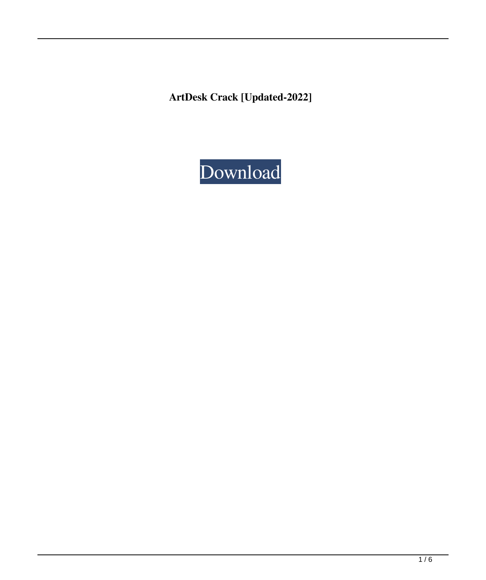**ArtDesk Crack [Updated-2022]**

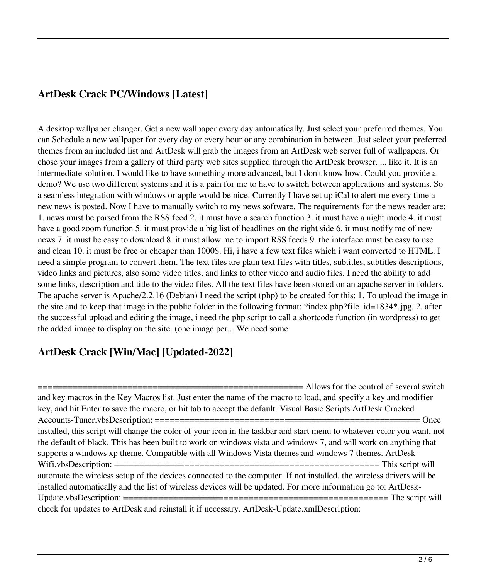# **ArtDesk Crack PC/Windows [Latest]**

A desktop wallpaper changer. Get a new wallpaper every day automatically. Just select your preferred themes. You can Schedule a new wallpaper for every day or every hour or any combination in between. Just select your preferred themes from an included list and ArtDesk will grab the images from an ArtDesk web server full of wallpapers. Or chose your images from a gallery of third party web sites supplied through the ArtDesk browser. ... like it. It is an intermediate solution. I would like to have something more advanced, but I don't know how. Could you provide a demo? We use two different systems and it is a pain for me to have to switch between applications and systems. So a seamless integration with windows or apple would be nice. Currently I have set up iCal to alert me every time a new news is posted. Now I have to manually switch to my news software. The requirements for the news reader are: 1. news must be parsed from the RSS feed 2. it must have a search function 3. it must have a night mode 4. it must have a good zoom function 5. it must provide a big list of headlines on the right side 6. it must notify me of new news 7. it must be easy to download 8. it must allow me to import RSS feeds 9. the interface must be easy to use and clean 10. it must be free or cheaper than 1000\$. Hi, i have a few text files which i want converted to HTML. I need a simple program to convert them. The text files are plain text files with titles, subtitles, subtitles descriptions, video links and pictures, also some video titles, and links to other video and audio files. I need the ability to add some links, description and title to the video files. All the text files have been stored on an apache server in folders. The apache server is Apache/2.2.16 (Debian) I need the script (php) to be created for this: 1. To upload the image in the site and to keep that image in the public folder in the following format: \*index.php?file\_id=1834\*.jpg. 2. after the successful upload and editing the image, i need the php script to call a shortcode function (in wordpress) to get the added image to display on the site. (one image per... We need some

## **ArtDesk Crack [Win/Mac] [Updated-2022]**

 $=$  $=$  $=$  $=$  $=$  $=$  $=$  $=$  $=$  $\geq$  Allows for the control of several switch and key macros in the Key Macros list. Just enter the name of the macro to load, and specify a key and modifier key, and hit Enter to save the macro, or hit tab to accept the default. Visual Basic Scripts ArtDesk Cracked Accounts-Tuner.vbsDescription: ===================================================== Once installed, this script will change the color of your icon in the taskbar and start menu to whatever color you want, not the default of black. This has been built to work on windows vista and windows 7, and will work on anything that supports a windows xp theme. Compatible with all Windows Vista themes and windows 7 themes. ArtDesk-Wifi.vbsDescription: ===================================================== This script will automate the wireless setup of the devices connected to the computer. If not installed, the wireless drivers will be installed automatically and the list of wireless devices will be updated. For more information go to: ArtDesk-Update.vbsDescription: ===================================================== The script will check for updates to ArtDesk and reinstall it if necessary. ArtDesk-Update.xmlDescription: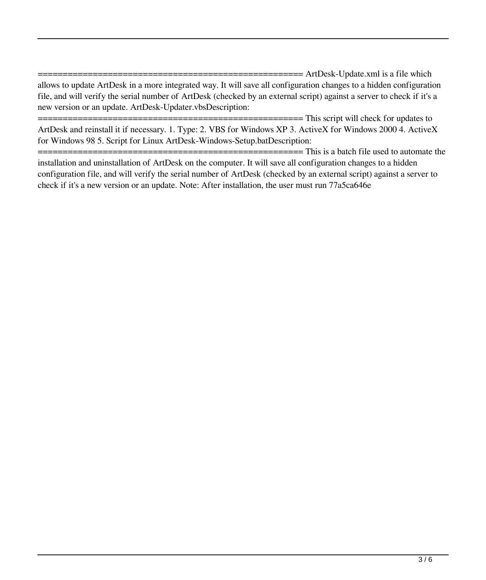$===$ ==== ArtDesk-Update.xml is a file which allows to update ArtDesk in a more integrated way. It will save all configuration changes to a hidden configuration file, and will verify the serial number of ArtDesk (checked by an external script) against a server to check if it's a new version or an update. ArtDesk-Updater.vbsDescription:

 $=$  $=$  $=$  $=$  $=$  $This$  script will check for updates to ArtDesk and reinstall it if necessary. 1. Type: 2. VBS for Windows XP 3. ActiveX for Windows 2000 4. ActiveX for Windows 98 5. Script for Linux ArtDesk-Windows-Setup.batDescription:

===================================================== This is a batch file used to automate the installation and uninstallation of ArtDesk on the computer. It will save all configuration changes to a hidden configuration file, and will verify the serial number of ArtDesk (checked by an external script) against a server to check if it's a new version or an update. Note: After installation, the user must run 77a5ca646e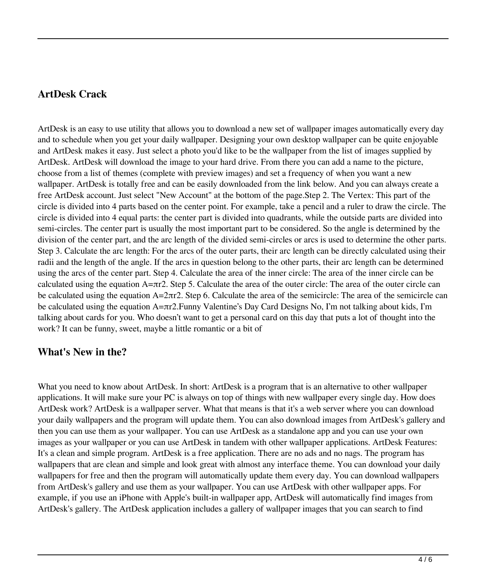### **ArtDesk Crack**

ArtDesk is an easy to use utility that allows you to download a new set of wallpaper images automatically every day and to schedule when you get your daily wallpaper. Designing your own desktop wallpaper can be quite enjoyable and ArtDesk makes it easy. Just select a photo you'd like to be the wallpaper from the list of images supplied by ArtDesk. ArtDesk will download the image to your hard drive. From there you can add a name to the picture, choose from a list of themes (complete with preview images) and set a frequency of when you want a new wallpaper. ArtDesk is totally free and can be easily downloaded from the link below. And you can always create a free ArtDesk account. Just select "New Account" at the bottom of the page.Step 2. The Vertex: This part of the circle is divided into 4 parts based on the center point. For example, take a pencil and a ruler to draw the circle. The circle is divided into 4 equal parts: the center part is divided into quadrants, while the outside parts are divided into semi-circles. The center part is usually the most important part to be considered. So the angle is determined by the division of the center part, and the arc length of the divided semi-circles or arcs is used to determine the other parts. Step 3. Calculate the arc length: For the arcs of the outer parts, their arc length can be directly calculated using their radii and the length of the angle. If the arcs in question belong to the other parts, their arc length can be determined using the arcs of the center part. Step 4. Calculate the area of the inner circle: The area of the inner circle can be calculated using the equation  $A=\pi r^2$ . Step 5. Calculate the area of the outer circle: The area of the outer circle can be calculated using the equation  $A = 2\pi r2$ . Step 6. Calculate the area of the semicircle: The area of the semicircle can be calculated using the equation A=πr2.Funny Valentine's Day Card Designs No, I'm not talking about kids, I'm talking about cards for you. Who doesn't want to get a personal card on this day that puts a lot of thought into the work? It can be funny, sweet, maybe a little romantic or a bit of

#### **What's New in the?**

What you need to know about ArtDesk. In short: ArtDesk is a program that is an alternative to other wallpaper applications. It will make sure your PC is always on top of things with new wallpaper every single day. How does ArtDesk work? ArtDesk is a wallpaper server. What that means is that it's a web server where you can download your daily wallpapers and the program will update them. You can also download images from ArtDesk's gallery and then you can use them as your wallpaper. You can use ArtDesk as a standalone app and you can use your own images as your wallpaper or you can use ArtDesk in tandem with other wallpaper applications. ArtDesk Features: It's a clean and simple program. ArtDesk is a free application. There are no ads and no nags. The program has wallpapers that are clean and simple and look great with almost any interface theme. You can download your daily wallpapers for free and then the program will automatically update them every day. You can download wallpapers from ArtDesk's gallery and use them as your wallpaper. You can use ArtDesk with other wallpaper apps. For example, if you use an iPhone with Apple's built-in wallpaper app, ArtDesk will automatically find images from ArtDesk's gallery. The ArtDesk application includes a gallery of wallpaper images that you can search to find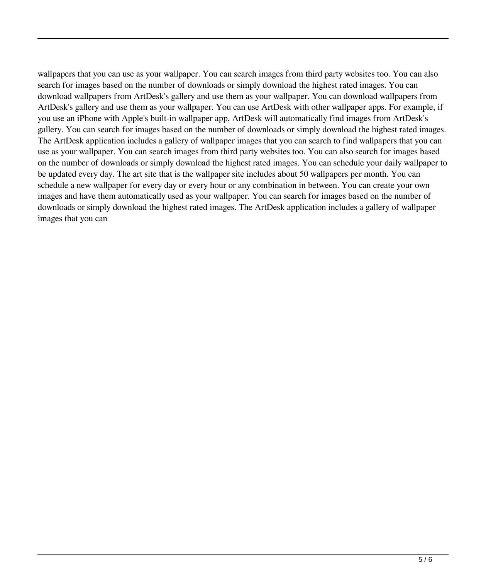wallpapers that you can use as your wallpaper. You can search images from third party websites too. You can also search for images based on the number of downloads or simply download the highest rated images. You can download wallpapers from ArtDesk's gallery and use them as your wallpaper. You can download wallpapers from ArtDesk's gallery and use them as your wallpaper. You can use ArtDesk with other wallpaper apps. For example, if you use an iPhone with Apple's built-in wallpaper app, ArtDesk will automatically find images from ArtDesk's gallery. You can search for images based on the number of downloads or simply download the highest rated images. The ArtDesk application includes a gallery of wallpaper images that you can search to find wallpapers that you can use as your wallpaper. You can search images from third party websites too. You can also search for images based on the number of downloads or simply download the highest rated images. You can schedule your daily wallpaper to be updated every day. The art site that is the wallpaper site includes about 50 wallpapers per month. You can schedule a new wallpaper for every day or every hour or any combination in between. You can create your own images and have them automatically used as your wallpaper. You can search for images based on the number of downloads or simply download the highest rated images. The ArtDesk application includes a gallery of wallpaper images that you can